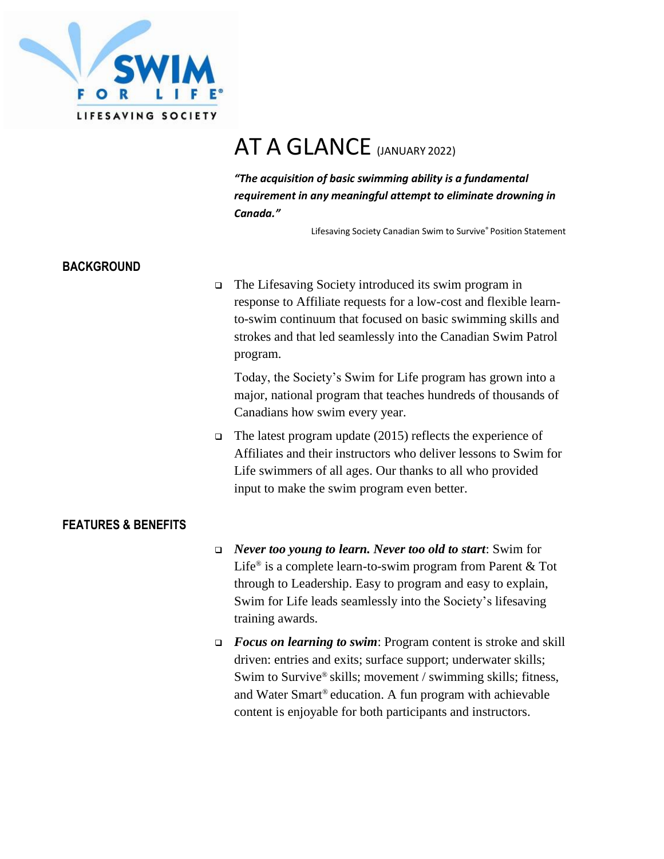

# AT A GLANCE (JANUARY 2022)

*"The acquisition of basic swimming ability is a fundamental requirement in any meaningful attempt to eliminate drowning in Canada."*

Lifesaving Society Canadian Swim to Survive® Position Statement

# **BACKGROUND**

❑ The Lifesaving Society introduced its swim program in response to Affiliate requests for a low-cost and flexible learnto-swim continuum that focused on basic swimming skills and strokes and that led seamlessly into the Canadian Swim Patrol program.

Today, the Society's Swim for Life program has grown into a major, national program that teaches hundreds of thousands of Canadians how swim every year.

❑ The latest program update (2015) reflects the experience of Affiliates and their instructors who deliver lessons to Swim for Life swimmers of all ages. Our thanks to all who provided input to make the swim program even better.

# **FEATURES & BENEFITS**

- ❑ *Never too young to learn. Never too old to start*: Swim for Life® is a complete learn-to-swim program from Parent & Tot through to Leadership. Easy to program and easy to explain, Swim for Life leads seamlessly into the Society's lifesaving training awards.
- ❑ *Focus on learning to swim*: Program content is stroke and skill driven: entries and exits; surface support; underwater skills; Swim to Survive® skills; movement / swimming skills; fitness, and Water Smart® education. A fun program with achievable content is enjoyable for both participants and instructors.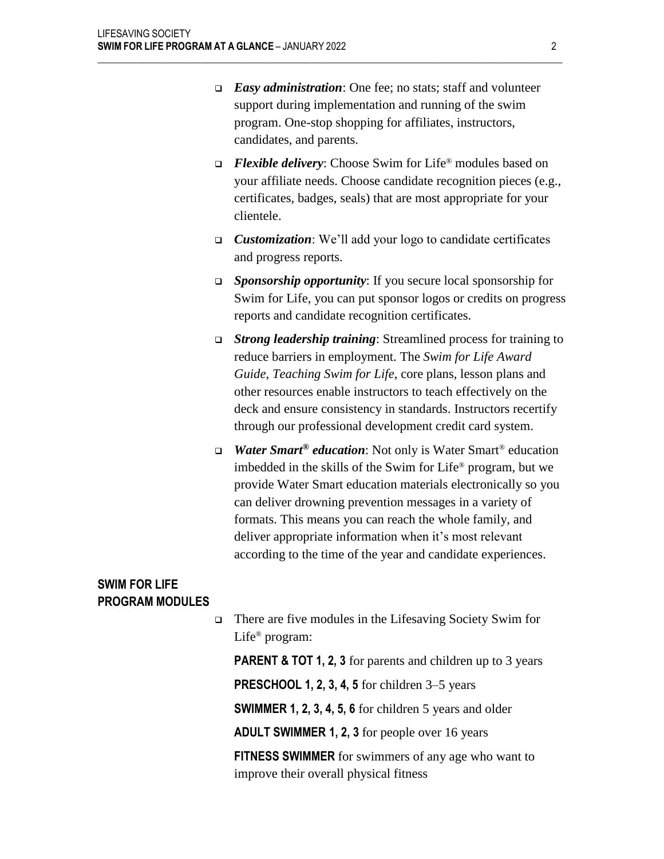❑ *Easy administration*: One fee; no stats; staff and volunteer support during implementation and running of the swim program. One-stop shopping for affiliates, instructors, candidates, and parents.

 $\mathcal{L}_\mathcal{L} = \{ \mathcal{L}_\mathcal{L} = \{ \mathcal{L}_\mathcal{L} = \{ \mathcal{L}_\mathcal{L} = \{ \mathcal{L}_\mathcal{L} = \{ \mathcal{L}_\mathcal{L} = \{ \mathcal{L}_\mathcal{L} = \{ \mathcal{L}_\mathcal{L} = \{ \mathcal{L}_\mathcal{L} = \{ \mathcal{L}_\mathcal{L} = \{ \mathcal{L}_\mathcal{L} = \{ \mathcal{L}_\mathcal{L} = \{ \mathcal{L}_\mathcal{L} = \{ \mathcal{L}_\mathcal{L} = \{ \mathcal{L}_\mathcal{$ 

- ❑ *Flexible delivery*: Choose Swim for Life® modules based on your affiliate needs. Choose candidate recognition pieces (e.g., certificates, badges, seals) that are most appropriate for your clientele.
- ❑ *Customization*: We'll add your logo to candidate certificates and progress reports.
- ❑ *Sponsorship opportunity*: If you secure local sponsorship for Swim for Life, you can put sponsor logos or credits on progress reports and candidate recognition certificates.
- ❑ *Strong leadership training*: Streamlined process for training to reduce barriers in employment. The *Swim for Life Award Guide*, *Teaching Swim for Life*, core plans, lesson plans and other resources enable instructors to teach effectively on the deck and ensure consistency in standards. Instructors recertify through our professional development credit card system.
- ❑ *Water Smart® education*: Not only is Water Smart® education imbedded in the skills of the Swim for Life® program, but we provide Water Smart education materials electronically so you can deliver drowning prevention messages in a variety of formats. This means you can reach the whole family, and deliver appropriate information when it's most relevant according to the time of the year and candidate experiences.

# **SWIM FOR LIFE PROGRAM MODULES**

❑ There are five modules in the Lifesaving Society Swim for Life® program:

**PARENT & TOT 1, 2, 3** for parents and children up to 3 years **PRESCHOOL 1, 2, 3, 4, 5** for children 3–5 years

**SWIMMER 1, 2, 3, 4, 5, 6** for children 5 years and older

**ADULT SWIMMER 1, 2, 3** for people over 16 years

**FITNESS SWIMMER** for swimmers of any age who want to improve their overall physical fitness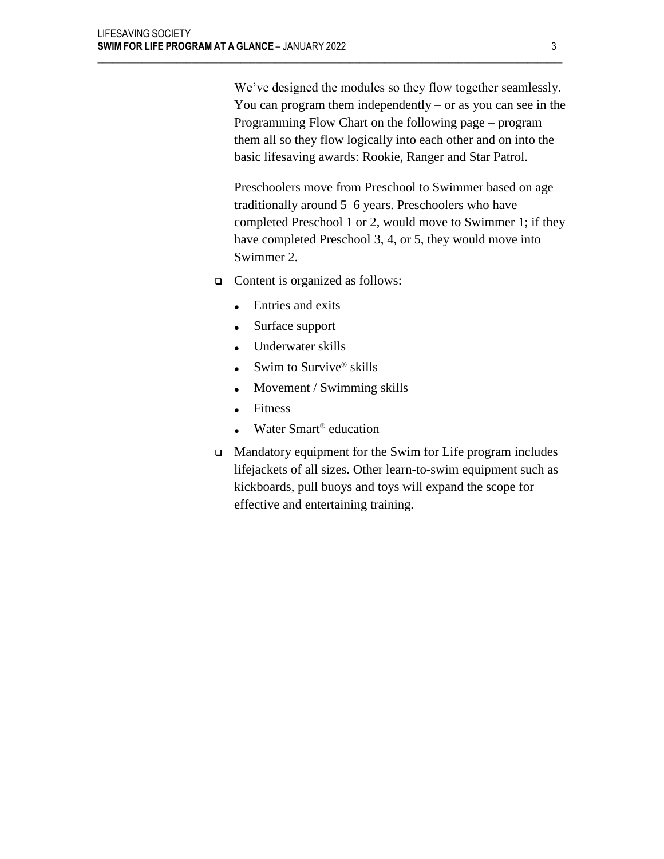We've designed the modules so they flow together seamlessly. You can program them independently  $-$  or as you can see in the Programming Flow Chart on the following page – program them all so they flow logically into each other and on into the basic lifesaving awards: Rookie, Ranger and Star Patrol.

Preschoolers move from Preschool to Swimmer based on age – traditionally around 5–6 years. Preschoolers who have completed Preschool 1 or 2, would move to Swimmer 1; if they have completed Preschool 3, 4, or 5, they would move into Swimmer 2.

❑ Content is organized as follows:

 $\mathcal{L}_\mathcal{L} = \{ \mathcal{L}_\mathcal{L} = \{ \mathcal{L}_\mathcal{L} = \{ \mathcal{L}_\mathcal{L} = \{ \mathcal{L}_\mathcal{L} = \{ \mathcal{L}_\mathcal{L} = \{ \mathcal{L}_\mathcal{L} = \{ \mathcal{L}_\mathcal{L} = \{ \mathcal{L}_\mathcal{L} = \{ \mathcal{L}_\mathcal{L} = \{ \mathcal{L}_\mathcal{L} = \{ \mathcal{L}_\mathcal{L} = \{ \mathcal{L}_\mathcal{L} = \{ \mathcal{L}_\mathcal{L} = \{ \mathcal{L}_\mathcal{$ 

- Entries and exits
- Surface support
- Underwater skills
- Swim to Survive® skills
- Movement / Swimming skills
- Fitness
- Water Smart<sup>®</sup> education
- ❑ Mandatory equipment for the Swim for Life program includes lifejackets of all sizes. Other learn-to-swim equipment such as kickboards, pull buoys and toys will expand the scope for effective and entertaining training.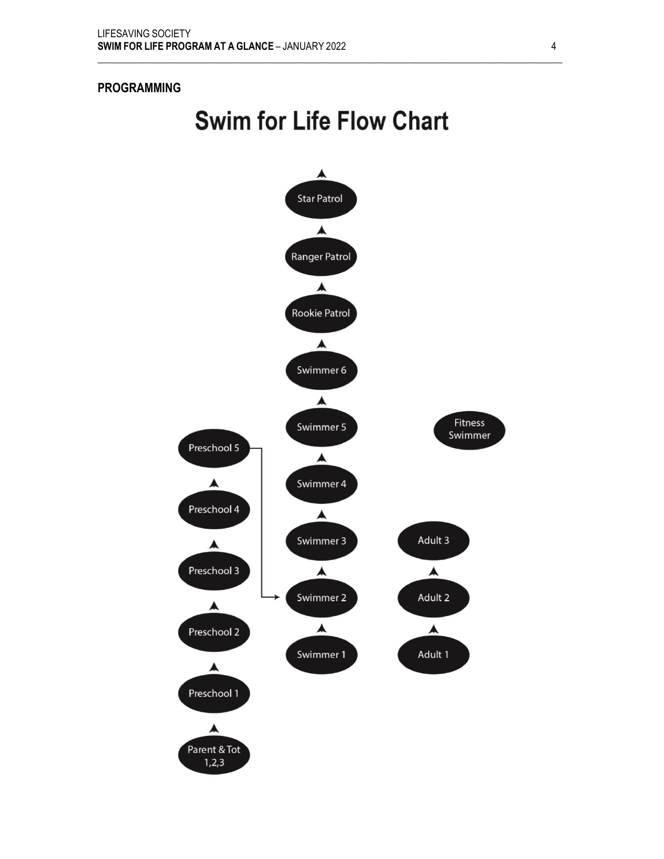# **PROGRAMMING**

# **Swim for Life Flow Chart**

 $\mathcal{L}_\mathcal{L} = \{ \mathcal{L}_\mathcal{L} = \{ \mathcal{L}_\mathcal{L} = \{ \mathcal{L}_\mathcal{L} = \{ \mathcal{L}_\mathcal{L} = \{ \mathcal{L}_\mathcal{L} = \{ \mathcal{L}_\mathcal{L} = \{ \mathcal{L}_\mathcal{L} = \{ \mathcal{L}_\mathcal{L} = \{ \mathcal{L}_\mathcal{L} = \{ \mathcal{L}_\mathcal{L} = \{ \mathcal{L}_\mathcal{L} = \{ \mathcal{L}_\mathcal{L} = \{ \mathcal{L}_\mathcal{L} = \{ \mathcal{L}_\mathcal{$ 

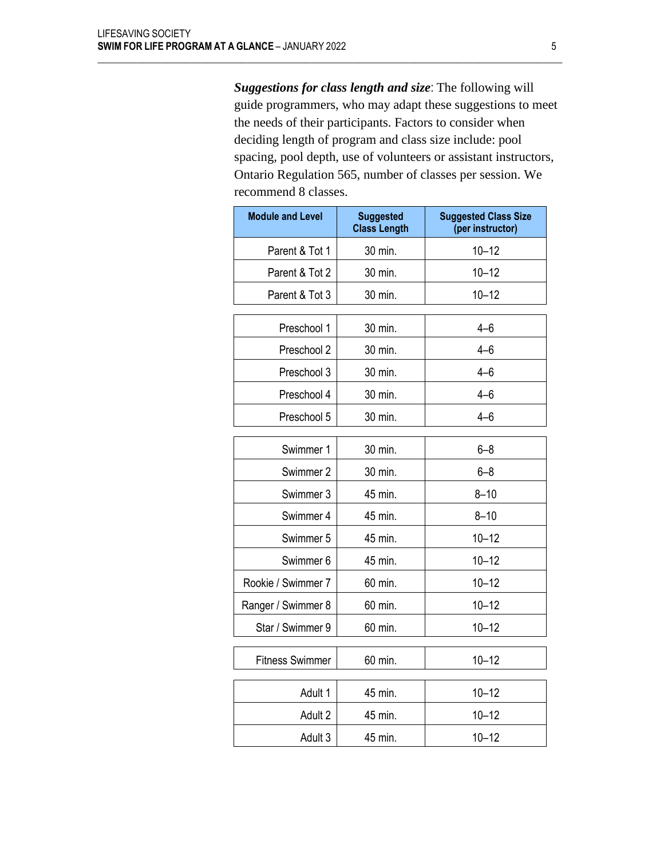*Suggestions for class length and size*: The following will guide programmers, who may adapt these suggestions to meet the needs of their participants. Factors to consider when deciding length of program and class size include: pool spacing, pool depth, use of volunteers or assistant instructors, Ontario Regulation 565, number of classes per session. We recommend 8 classes.

 $\mathcal{L}_\mathcal{L} = \{ \mathcal{L}_\mathcal{L} = \{ \mathcal{L}_\mathcal{L} = \{ \mathcal{L}_\mathcal{L} = \{ \mathcal{L}_\mathcal{L} = \{ \mathcal{L}_\mathcal{L} = \{ \mathcal{L}_\mathcal{L} = \{ \mathcal{L}_\mathcal{L} = \{ \mathcal{L}_\mathcal{L} = \{ \mathcal{L}_\mathcal{L} = \{ \mathcal{L}_\mathcal{L} = \{ \mathcal{L}_\mathcal{L} = \{ \mathcal{L}_\mathcal{L} = \{ \mathcal{L}_\mathcal{L} = \{ \mathcal{L}_\mathcal{$ 

| <b>Module and Level</b> | <b>Suggested</b><br><b>Class Length</b> | <b>Suggested Class Size</b><br>(per instructor) |
|-------------------------|-----------------------------------------|-------------------------------------------------|
| Parent & Tot 1          | 30 min.                                 | $10 - 12$                                       |
| Parent & Tot 2          | 30 min.                                 | $10 - 12$                                       |
| Parent & Tot 3          | 30 min.                                 | $10 - 12$                                       |
| Preschool 1             | 30 min.                                 | $4 - 6$                                         |
| Preschool 2             | 30 min.                                 | $4 - 6$                                         |
| Preschool 3             | 30 min.                                 | 4–6                                             |
| Preschool 4             | 30 min.                                 | $4 - 6$                                         |
| Preschool 5             | 30 min.                                 | $4 - 6$                                         |
| Swimmer 1               | 30 min.                                 | $6 - 8$                                         |
| Swimmer 2               | 30 min.                                 | $6 - 8$                                         |
| Swimmer 3               | 45 min.                                 | $8 - 10$                                        |
| Swimmer 4               | 45 min.                                 | $8 - 10$                                        |
| Swimmer 5               | 45 min.                                 | $10 - 12$                                       |
| Swimmer 6               | 45 min.                                 | $10 - 12$                                       |
| Rookie / Swimmer 7      | 60 min.                                 | $10 - 12$                                       |
| Ranger / Swimmer 8      | 60 min.                                 | $10 - 12$                                       |
| Star / Swimmer 9        | 60 min.                                 | $10 - 12$                                       |
| <b>Fitness Swimmer</b>  | 60 min.                                 | $10 - 12$                                       |
| Adult 1                 | 45 min.                                 | $10 - 12$                                       |
| Adult 2                 | 45 min.                                 | $10 - 12$                                       |
| Adult 3                 | 45 min.                                 | $10 - 12$                                       |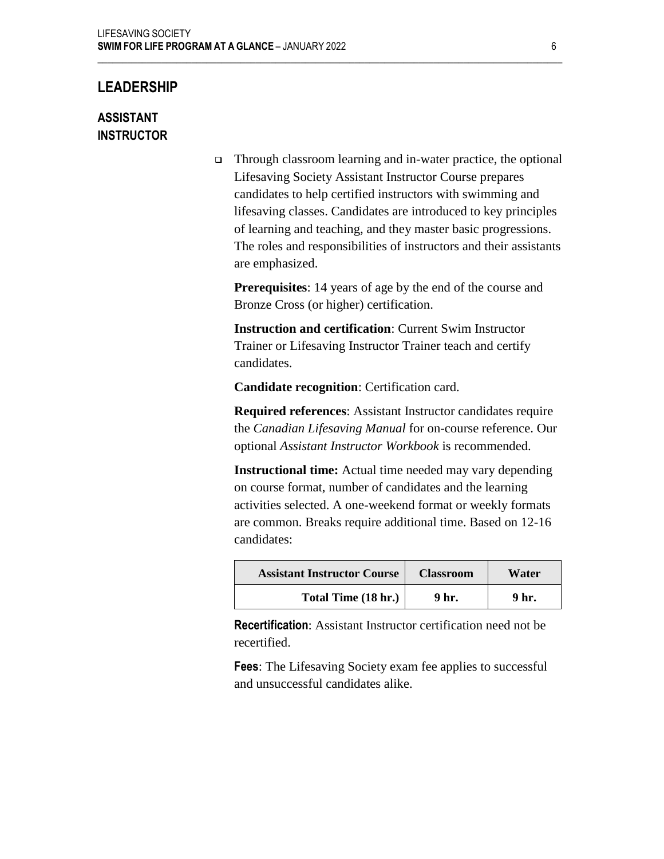# **LEADERSHIP**

# **ASSISTANT INSTRUCTOR**

❑ Through classroom learning and in-water practice, the optional Lifesaving Society Assistant Instructor Course prepares candidates to help certified instructors with swimming and lifesaving classes. Candidates are introduced to key principles of learning and teaching, and they master basic progressions. The roles and responsibilities of instructors and their assistants are emphasized.

**Prerequisites**: 14 years of age by the end of the course and Bronze Cross (or higher) certification.

**Instruction and certification**: Current Swim Instructor Trainer or Lifesaving Instructor Trainer teach and certify candidates.

**Candidate recognition**: Certification card.

 $\mathcal{L}_\mathcal{L} = \{ \mathcal{L}_\mathcal{L} = \{ \mathcal{L}_\mathcal{L} = \{ \mathcal{L}_\mathcal{L} = \{ \mathcal{L}_\mathcal{L} = \{ \mathcal{L}_\mathcal{L} = \{ \mathcal{L}_\mathcal{L} = \{ \mathcal{L}_\mathcal{L} = \{ \mathcal{L}_\mathcal{L} = \{ \mathcal{L}_\mathcal{L} = \{ \mathcal{L}_\mathcal{L} = \{ \mathcal{L}_\mathcal{L} = \{ \mathcal{L}_\mathcal{L} = \{ \mathcal{L}_\mathcal{L} = \{ \mathcal{L}_\mathcal{$ 

**Required references**: Assistant Instructor candidates require the *Canadian Lifesaving Manual* for on-course reference. Our optional *Assistant Instructor Workbook* is recommended.

**Instructional time:** Actual time needed may vary depending on course format, number of candidates and the learning activities selected. A one-weekend format or weekly formats are common. Breaks require additional time. Based on 12-16 candidates:

| <b>Assistant Instructor Course</b> | <b>Classroom</b> | Water |
|------------------------------------|------------------|-------|
| Total Time (18 hr.)                | 9 hr.            | 9 hr. |

**Recertification**: Assistant Instructor certification need not be recertified.

**Fees**: The Lifesaving Society exam fee applies to successful and unsuccessful candidates alike.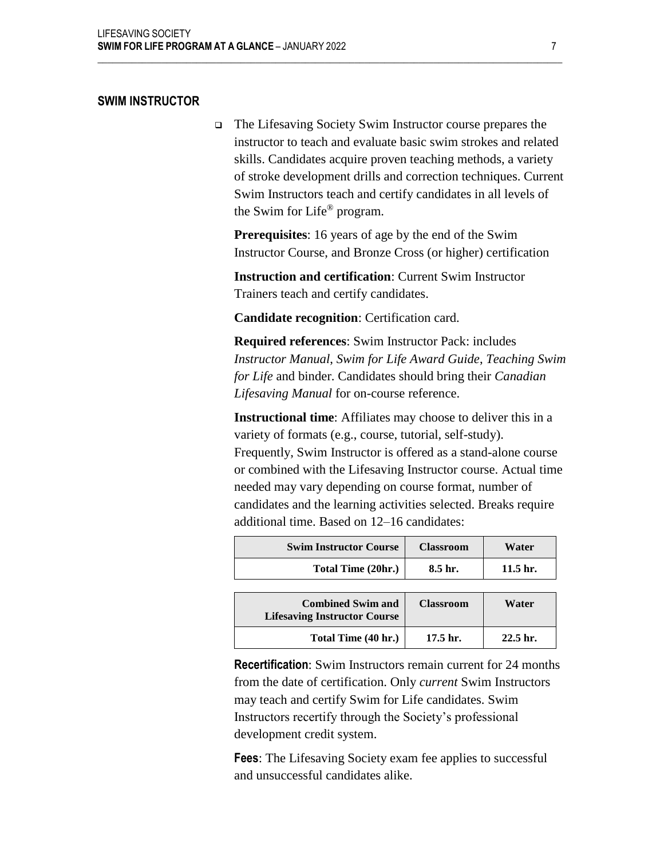# **SWIM INSTRUCTOR**

❑ The Lifesaving Society Swim Instructor course prepares the instructor to teach and evaluate basic swim strokes and related skills. Candidates acquire proven teaching methods, a variety of stroke development drills and correction techniques. Current Swim Instructors teach and certify candidates in all levels of the Swim for Life® program.

**Prerequisites**: 16 years of age by the end of the Swim Instructor Course, and Bronze Cross (or higher) certification

**Instruction and certification**: Current Swim Instructor Trainers teach and certify candidates.

**Candidate recognition**: Certification card.

 $\mathcal{L}_\mathcal{L} = \{ \mathcal{L}_\mathcal{L} = \{ \mathcal{L}_\mathcal{L} = \{ \mathcal{L}_\mathcal{L} = \{ \mathcal{L}_\mathcal{L} = \{ \mathcal{L}_\mathcal{L} = \{ \mathcal{L}_\mathcal{L} = \{ \mathcal{L}_\mathcal{L} = \{ \mathcal{L}_\mathcal{L} = \{ \mathcal{L}_\mathcal{L} = \{ \mathcal{L}_\mathcal{L} = \{ \mathcal{L}_\mathcal{L} = \{ \mathcal{L}_\mathcal{L} = \{ \mathcal{L}_\mathcal{L} = \{ \mathcal{L}_\mathcal{$ 

**Required references**: Swim Instructor Pack: includes *Instructor Manual*, *Swim for Life Award Guide*, *Teaching Swim for Life* and binder. Candidates should bring their *Canadian Lifesaving Manual* for on-course reference.

**Instructional time**: Affiliates may choose to deliver this in a variety of formats (e.g., course, tutorial, self-study). Frequently, Swim Instructor is offered as a stand-alone course or combined with the Lifesaving Instructor course. Actual time needed may vary depending on course format, number of candidates and the learning activities selected. Breaks require additional time. Based on 12–16 candidates:

| <b>Swim Instructor Course</b>                                   | <b>Classroom</b>    | Water               |
|-----------------------------------------------------------------|---------------------|---------------------|
| Total Time (20hr.)                                              | 8.5 hr.             | 11.5 <sub>hr.</sub> |
|                                                                 |                     |                     |
| <b>Combined Swim and</b><br><b>Lifesaving Instructor Course</b> | <b>Classroom</b>    | Water               |
| Total Time (40 hr.)                                             | 17.5 <sub>hr.</sub> | $22.5$ hr.          |

**Recertification**: Swim Instructors remain current for 24 months from the date of certification. Only *current* Swim Instructors may teach and certify Swim for Life candidates. Swim Instructors recertify through the Society's professional development credit system.

**Fees**: The Lifesaving Society exam fee applies to successful and unsuccessful candidates alike.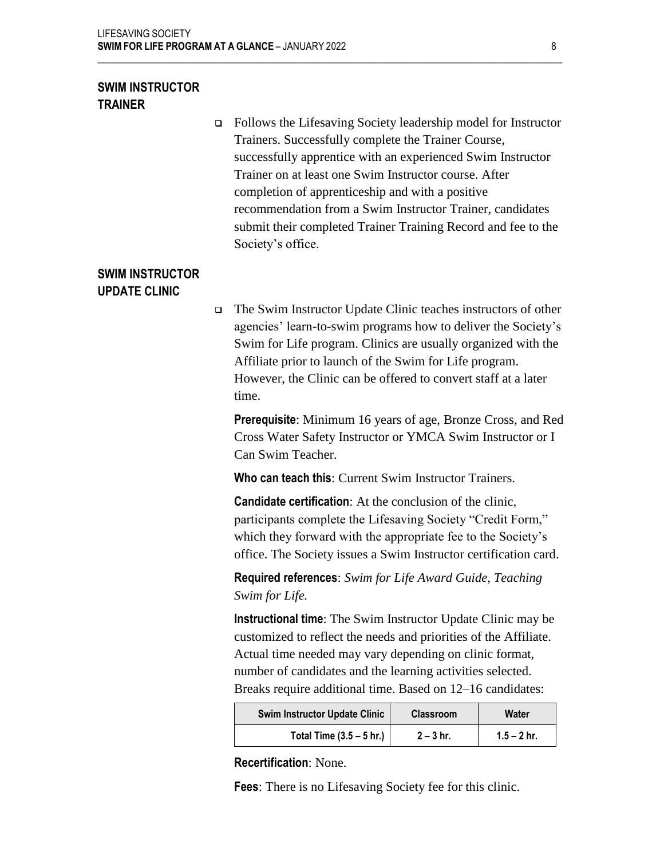# **SWIM INSTRUCTOR TRAINER**

❑ Follows the Lifesaving Society leadership model for Instructor Trainers. Successfully complete the Trainer Course, successfully apprentice with an experienced Swim Instructor Trainer on at least one Swim Instructor course. After completion of apprenticeship and with a positive recommendation from a Swim Instructor Trainer, candidates submit their completed Trainer Training Record and fee to the Society's office.

 $\mathcal{L}_\mathcal{L} = \{ \mathcal{L}_\mathcal{L} = \{ \mathcal{L}_\mathcal{L} = \{ \mathcal{L}_\mathcal{L} = \{ \mathcal{L}_\mathcal{L} = \{ \mathcal{L}_\mathcal{L} = \{ \mathcal{L}_\mathcal{L} = \{ \mathcal{L}_\mathcal{L} = \{ \mathcal{L}_\mathcal{L} = \{ \mathcal{L}_\mathcal{L} = \{ \mathcal{L}_\mathcal{L} = \{ \mathcal{L}_\mathcal{L} = \{ \mathcal{L}_\mathcal{L} = \{ \mathcal{L}_\mathcal{L} = \{ \mathcal{L}_\mathcal{$ 

# **SWIM INSTRUCTOR UPDATE CLINIC**

❑ The Swim Instructor Update Clinic teaches instructors of other agencies' learn-to-swim programs how to deliver the Society's Swim for Life program. Clinics are usually organized with the Affiliate prior to launch of the Swim for Life program. However, the Clinic can be offered to convert staff at a later time.

**Prerequisite**: Minimum 16 years of age, Bronze Cross, and Red Cross Water Safety Instructor or YMCA Swim Instructor or I Can Swim Teacher.

**Who can teach this**: Current Swim Instructor Trainers.

**Candidate certification**: At the conclusion of the clinic, participants complete the Lifesaving Society "Credit Form," which they forward with the appropriate fee to the Society's office. The Society issues a Swim Instructor certification card.

**Required references**: *Swim for Life Award Guide, Teaching Swim for Life.*

**Instructional time**: The Swim Instructor Update Clinic may be customized to reflect the needs and priorities of the Affiliate. Actual time needed may vary depending on clinic format, number of candidates and the learning activities selected. Breaks require additional time. Based on 12–16 candidates:

| Swim Instructor Update Clinic | <b>Classroom</b> | Water         |
|-------------------------------|------------------|---------------|
| Total Time $(3.5 - 5)$ hr.)   | $2 - 3$ hr.      | $1.5 - 2$ hr. |

**Recertification**: None.

**Fees**: There is no Lifesaving Society fee for this clinic.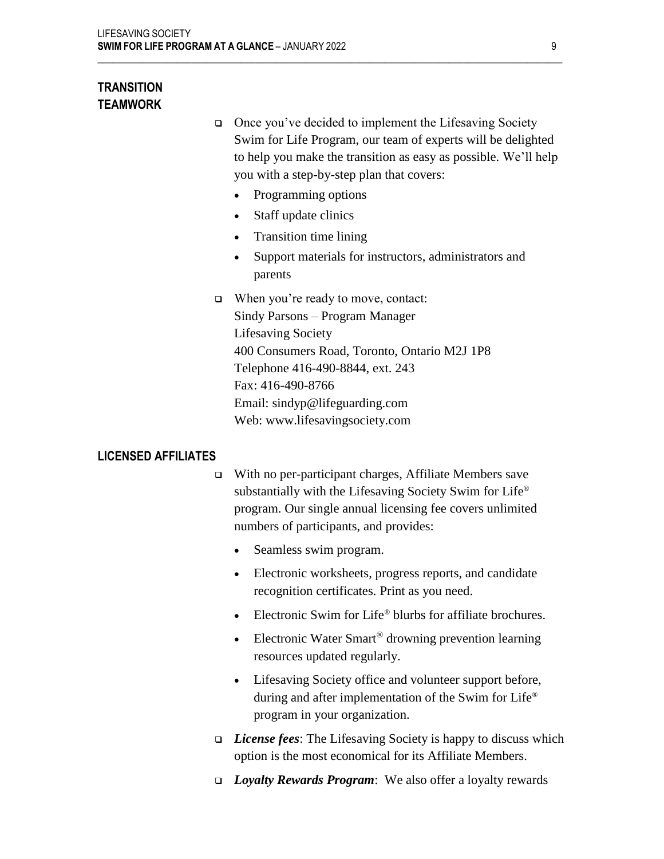# **TRANSITION TEAMWORK**

❑ Once you've decided to implement the Lifesaving Society Swim for Life Program, our team of experts will be delighted to help you make the transition as easy as possible. We'll help you with a step-by-step plan that covers:

- Programming options
- Staff update clinics
- Transition time lining
- Support materials for instructors, administrators and parents
- ❑ When you're ready to move, contact: Sindy Parsons – Program Manager

 $\mathcal{L}_\mathcal{L} = \{ \mathcal{L}_\mathcal{L} = \{ \mathcal{L}_\mathcal{L} = \{ \mathcal{L}_\mathcal{L} = \{ \mathcal{L}_\mathcal{L} = \{ \mathcal{L}_\mathcal{L} = \{ \mathcal{L}_\mathcal{L} = \{ \mathcal{L}_\mathcal{L} = \{ \mathcal{L}_\mathcal{L} = \{ \mathcal{L}_\mathcal{L} = \{ \mathcal{L}_\mathcal{L} = \{ \mathcal{L}_\mathcal{L} = \{ \mathcal{L}_\mathcal{L} = \{ \mathcal{L}_\mathcal{L} = \{ \mathcal{L}_\mathcal{$ 

Lifesaving Society 400 Consumers Road, Toronto, Ontario M2J 1P8 Telephone 416-490-8844, ext. 243 Fax: 416-490-8766 Email: sindyp@lifeguarding.com Web: www.lifesavingsociety.com

# **LICENSED AFFILIATES**

- ❑ With no per-participant charges, Affiliate Members save substantially with the Lifesaving Society Swim for Life® program. Our single annual licensing fee covers unlimited numbers of participants, and provides:
	- Seamless swim program.
	- Electronic worksheets, progress reports, and candidate recognition certificates. Print as you need.
	- Electronic Swim for Life® blurbs for affiliate brochures.
	- Electronic Water Smart<sup>®</sup> drowning prevention learning resources updated regularly.
	- Lifesaving Society office and volunteer support before, during and after implementation of the Swim for Life® program in your organization.
- ❑ *License fees*: The Lifesaving Society is happy to discuss which option is the most economical for its Affiliate Members.
- ❑ *Loyalty Rewards Program*: We also offer a loyalty rewards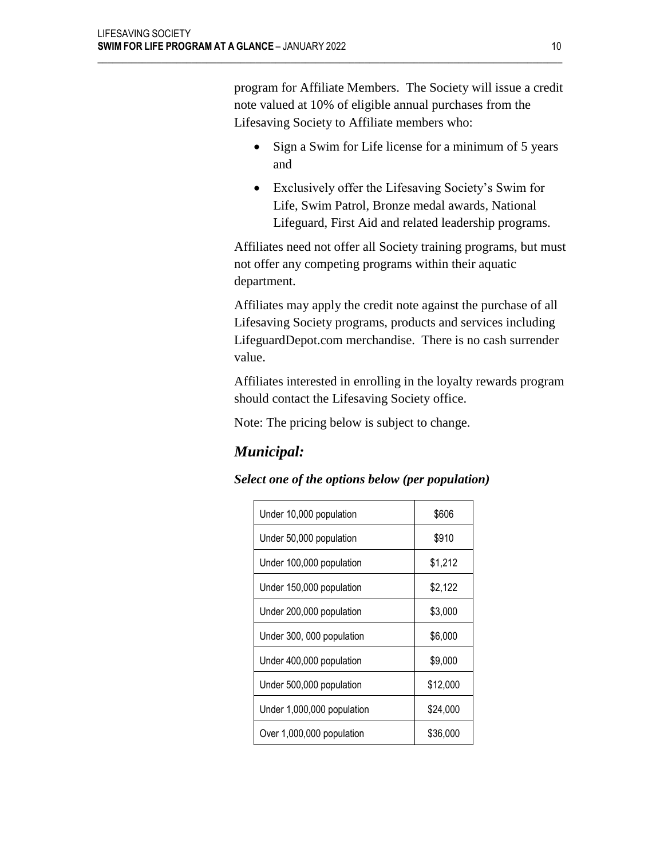program for Affiliate Members. The Society will issue a credit note valued at 10% of eligible annual purchases from the Lifesaving Society to Affiliate members who:

 $\mathcal{L}_\mathcal{L} = \{ \mathcal{L}_\mathcal{L} = \{ \mathcal{L}_\mathcal{L} = \{ \mathcal{L}_\mathcal{L} = \{ \mathcal{L}_\mathcal{L} = \{ \mathcal{L}_\mathcal{L} = \{ \mathcal{L}_\mathcal{L} = \{ \mathcal{L}_\mathcal{L} = \{ \mathcal{L}_\mathcal{L} = \{ \mathcal{L}_\mathcal{L} = \{ \mathcal{L}_\mathcal{L} = \{ \mathcal{L}_\mathcal{L} = \{ \mathcal{L}_\mathcal{L} = \{ \mathcal{L}_\mathcal{L} = \{ \mathcal{L}_\mathcal{$ 

- Sign a Swim for Life license for a minimum of 5 years and
- Exclusively offer the Lifesaving Society's Swim for Life, Swim Patrol, Bronze medal awards, National Lifeguard, First Aid and related leadership programs.

Affiliates need not offer all Society training programs, but must not offer any competing programs within their aquatic department.

Affiliates may apply the credit note against the purchase of all Lifesaving Society programs, products and services including LifeguardDepot.com merchandise. There is no cash surrender value.

Affiliates interested in enrolling in the loyalty rewards program should contact the Lifesaving Society office.

Note: The pricing below is subject to change.

# *Municipal:*

# *Select one of the options below (per population)*

| Under 10,000 population    | \$606    |
|----------------------------|----------|
| Under 50,000 population    | \$910    |
| Under 100,000 population   | \$1,212  |
| Under 150,000 population   | \$2,122  |
| Under 200,000 population   | \$3,000  |
| Under 300, 000 population  | \$6,000  |
| Under 400,000 population   | \$9,000  |
| Under 500,000 population   | \$12,000 |
| Under 1,000,000 population | \$24,000 |
| Over 1,000,000 population  | \$36,000 |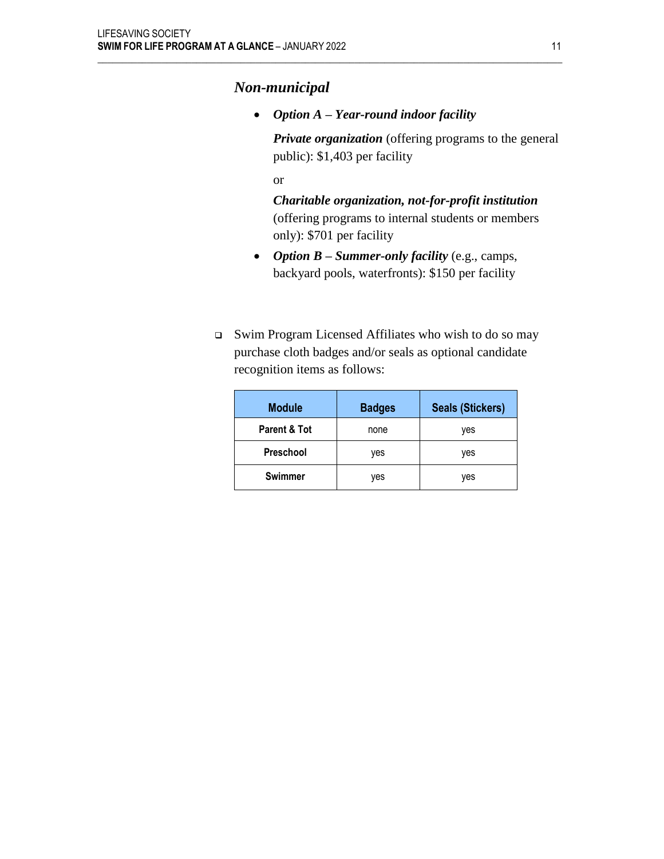# *Non-municipal*

• *Option A – Year-round indoor facility*

 $\mathcal{L}_\mathcal{L} = \{ \mathcal{L}_\mathcal{L} = \{ \mathcal{L}_\mathcal{L} = \{ \mathcal{L}_\mathcal{L} = \{ \mathcal{L}_\mathcal{L} = \{ \mathcal{L}_\mathcal{L} = \{ \mathcal{L}_\mathcal{L} = \{ \mathcal{L}_\mathcal{L} = \{ \mathcal{L}_\mathcal{L} = \{ \mathcal{L}_\mathcal{L} = \{ \mathcal{L}_\mathcal{L} = \{ \mathcal{L}_\mathcal{L} = \{ \mathcal{L}_\mathcal{L} = \{ \mathcal{L}_\mathcal{L} = \{ \mathcal{L}_\mathcal{$ 

*Private organization* (offering programs to the general public): \$1,403 per facility

or

*Charitable organization, not-for-profit institution* (offering programs to internal students or members only): \$701 per facility

- *Option B – Summer-only facility* (e.g., camps, backyard pools, waterfronts): \$150 per facility
- ❑ Swim Program Licensed Affiliates who wish to do so may purchase cloth badges and/or seals as optional candidate recognition items as follows:

| <b>Module</b>  | <b>Badges</b> | <b>Seals (Stickers)</b> |
|----------------|---------------|-------------------------|
| Parent & Tot   | none          | yes                     |
| Preschool      | yes           | yes                     |
| <b>Swimmer</b> | yes           | yes                     |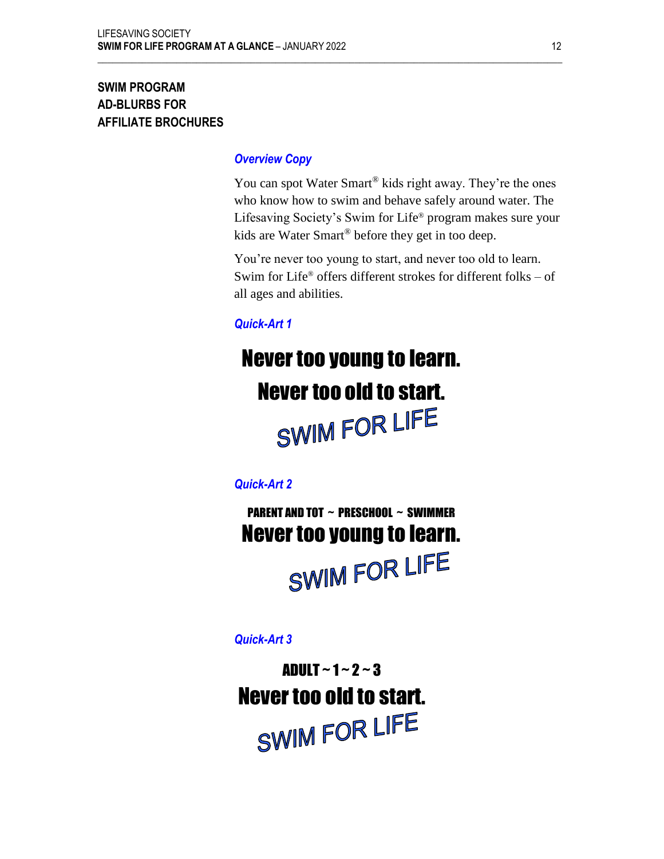# **SWIM PROGRAM AD-BLURBS FOR AFFILIATE BROCHURES**

# *Overview Copy*

 $\mathcal{L}_\mathcal{L} = \{ \mathcal{L}_\mathcal{L} = \{ \mathcal{L}_\mathcal{L} = \{ \mathcal{L}_\mathcal{L} = \{ \mathcal{L}_\mathcal{L} = \{ \mathcal{L}_\mathcal{L} = \{ \mathcal{L}_\mathcal{L} = \{ \mathcal{L}_\mathcal{L} = \{ \mathcal{L}_\mathcal{L} = \{ \mathcal{L}_\mathcal{L} = \{ \mathcal{L}_\mathcal{L} = \{ \mathcal{L}_\mathcal{L} = \{ \mathcal{L}_\mathcal{L} = \{ \mathcal{L}_\mathcal{L} = \{ \mathcal{L}_\mathcal{$ 

You can spot Water Smart<sup>®</sup> kids right away. They're the ones who know how to swim and behave safely around water. The Lifesaving Society's Swim for Life® program makes sure your kids are Water Smart® before they get in too deep.

You're never too young to start, and never too old to learn. Swim for Life<sup>®</sup> offers different strokes for different folks – of all ages and abilities.

# *Quick-Art 1*

# Never too young to learn. Never too old to start.<br>SWIM FOR LIFE

*Quick-Art 2*

PARENT AND TOT ~ PRESCHOOL ~ SWIMMER Never too young to learn.

SWIM FOR LIFE

*Quick-Art 3*

ADULT  $\sim$  1  $\sim$  2  $\sim$  3 Never too old to start.SWIM FOR LIFE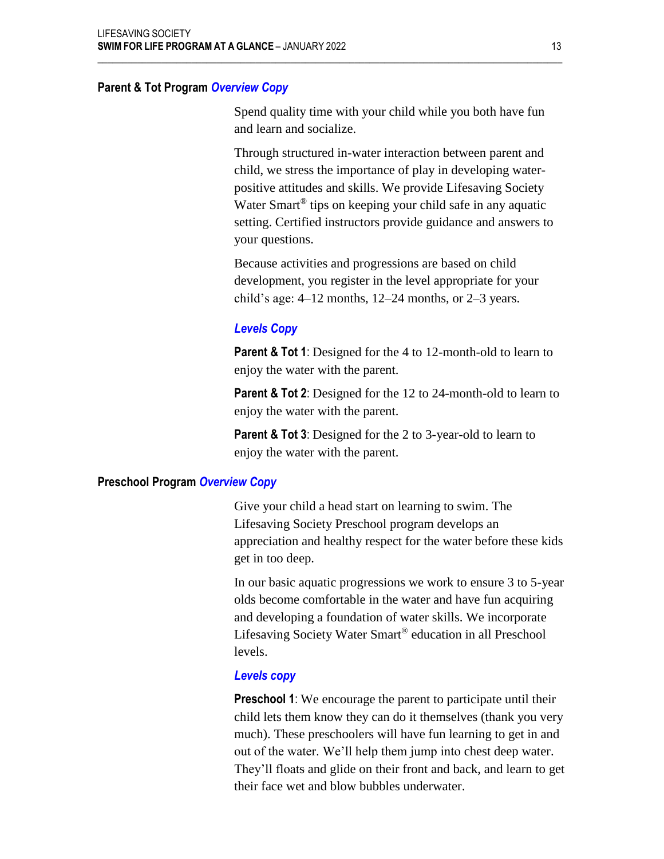## **Parent & Tot Program** *Overview Copy*

Spend quality time with your child while you both have fun and learn and socialize.

 $\mathcal{L}_\mathcal{L} = \{ \mathcal{L}_\mathcal{L} = \{ \mathcal{L}_\mathcal{L} = \{ \mathcal{L}_\mathcal{L} = \{ \mathcal{L}_\mathcal{L} = \{ \mathcal{L}_\mathcal{L} = \{ \mathcal{L}_\mathcal{L} = \{ \mathcal{L}_\mathcal{L} = \{ \mathcal{L}_\mathcal{L} = \{ \mathcal{L}_\mathcal{L} = \{ \mathcal{L}_\mathcal{L} = \{ \mathcal{L}_\mathcal{L} = \{ \mathcal{L}_\mathcal{L} = \{ \mathcal{L}_\mathcal{L} = \{ \mathcal{L}_\mathcal{$ 

Through structured in-water interaction between parent and child, we stress the importance of play in developing waterpositive attitudes and skills. We provide Lifesaving Society Water Smart<sup>®</sup> tips on keeping your child safe in any aquatic setting. Certified instructors provide guidance and answers to your questions.

Because activities and progressions are based on child development, you register in the level appropriate for your child's age: 4–12 months, 12–24 months, or 2–3 years.

## *Levels Copy*

**Parent & Tot 1**: Designed for the 4 to 12-month-old to learn to enjoy the water with the parent.

**Parent & Tot 2**: Designed for the 12 to 24-month-old to learn to enjoy the water with the parent.

**Parent & Tot 3**: Designed for the 2 to 3-year-old to learn to enjoy the water with the parent.

#### **Preschool Program** *Overview Copy*

Give your child a head start on learning to swim. The Lifesaving Society Preschool program develops an appreciation and healthy respect for the water before these kids get in too deep.

In our basic aquatic progressions we work to ensure 3 to 5-year olds become comfortable in the water and have fun acquiring and developing a foundation of water skills. We incorporate Lifesaving Society Water Smart® education in all Preschool levels.

#### *Levels copy*

**Preschool 1**: We encourage the parent to participate until their child lets them know they can do it themselves (thank you very much). These preschoolers will have fun learning to get in and out of the water. We'll help them jump into chest deep water. They'll floats and glide on their front and back, and learn to get their face wet and blow bubbles underwater.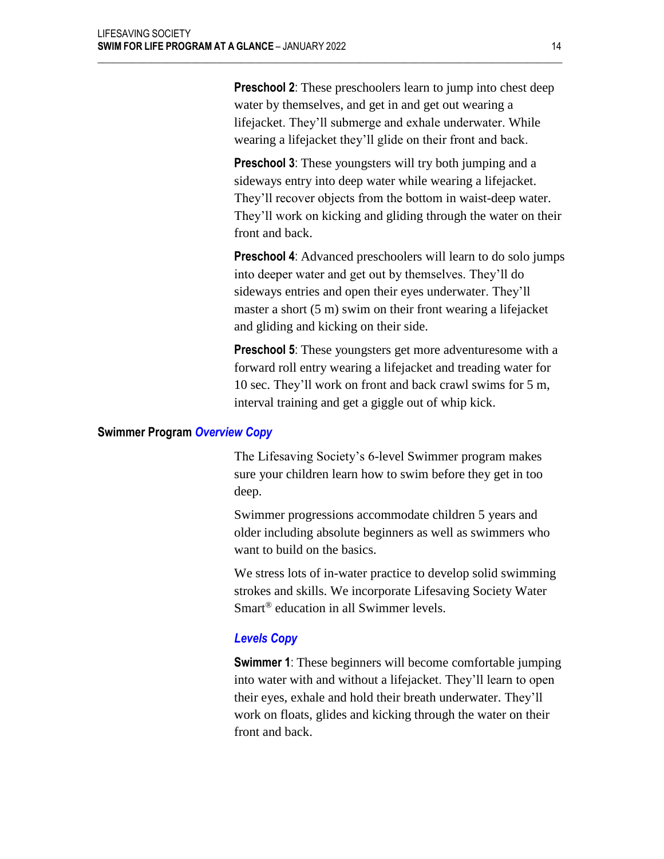**Preschool 2**: These preschoolers learn to jump into chest deep water by themselves, and get in and get out wearing a lifejacket. They'll submerge and exhale underwater. While wearing a lifejacket they'll glide on their front and back.

 $\mathcal{L}_\mathcal{L} = \{ \mathcal{L}_\mathcal{L} = \{ \mathcal{L}_\mathcal{L} = \{ \mathcal{L}_\mathcal{L} = \{ \mathcal{L}_\mathcal{L} = \{ \mathcal{L}_\mathcal{L} = \{ \mathcal{L}_\mathcal{L} = \{ \mathcal{L}_\mathcal{L} = \{ \mathcal{L}_\mathcal{L} = \{ \mathcal{L}_\mathcal{L} = \{ \mathcal{L}_\mathcal{L} = \{ \mathcal{L}_\mathcal{L} = \{ \mathcal{L}_\mathcal{L} = \{ \mathcal{L}_\mathcal{L} = \{ \mathcal{L}_\mathcal{$ 

**Preschool 3**: These youngsters will try both jumping and a sideways entry into deep water while wearing a lifejacket. They'll recover objects from the bottom in waist-deep water. They'll work on kicking and gliding through the water on their front and back.

**Preschool 4**: Advanced preschoolers will learn to do solo jumps into deeper water and get out by themselves. They'll do sideways entries and open their eyes underwater. They'll master a short (5 m) swim on their front wearing a lifejacket and gliding and kicking on their side.

**Preschool 5**: These youngsters get more adventuresome with a forward roll entry wearing a lifejacket and treading water for 10 sec. They'll work on front and back crawl swims for 5 m, interval training and get a giggle out of whip kick.

#### **Swimmer Program** *Overview Copy*

The Lifesaving Society's 6-level Swimmer program makes sure your children learn how to swim before they get in too deep.

Swimmer progressions accommodate children 5 years and older including absolute beginners as well as swimmers who want to build on the basics.

We stress lots of in-water practice to develop solid swimming strokes and skills. We incorporate Lifesaving Society Water Smart® education in all Swimmer levels.

## *Levels Copy*

**Swimmer 1**: These beginners will become comfortable jumping into water with and without a lifejacket. They'll learn to open their eyes, exhale and hold their breath underwater. They'll work on floats, glides and kicking through the water on their front and back.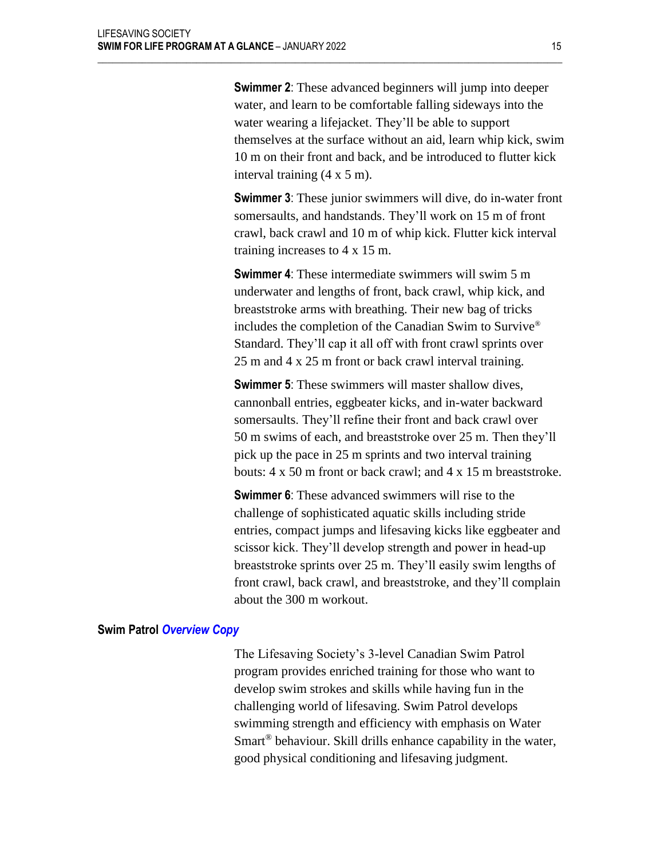**Swimmer 2**: These advanced beginners will jump into deeper water, and learn to be comfortable falling sideways into the water wearing a lifejacket. They'll be able to support themselves at the surface without an aid, learn whip kick, swim 10 m on their front and back, and be introduced to flutter kick interval training (4 x 5 m).

 $\mathcal{L}_\mathcal{L} = \{ \mathcal{L}_\mathcal{L} = \{ \mathcal{L}_\mathcal{L} = \{ \mathcal{L}_\mathcal{L} = \{ \mathcal{L}_\mathcal{L} = \{ \mathcal{L}_\mathcal{L} = \{ \mathcal{L}_\mathcal{L} = \{ \mathcal{L}_\mathcal{L} = \{ \mathcal{L}_\mathcal{L} = \{ \mathcal{L}_\mathcal{L} = \{ \mathcal{L}_\mathcal{L} = \{ \mathcal{L}_\mathcal{L} = \{ \mathcal{L}_\mathcal{L} = \{ \mathcal{L}_\mathcal{L} = \{ \mathcal{L}_\mathcal{$ 

**Swimmer 3**: These junior swimmers will dive, do in-water front somersaults, and handstands. They'll work on 15 m of front crawl, back crawl and 10 m of whip kick. Flutter kick interval training increases to 4 x 15 m.

**Swimmer 4:** These intermediate swimmers will swim 5 m underwater and lengths of front, back crawl, whip kick, and breaststroke arms with breathing. Their new bag of tricks includes the completion of the Canadian Swim to Survive® Standard. They'll cap it all off with front crawl sprints over 25 m and 4 x 25 m front or back crawl interval training.

**Swimmer 5:** These swimmers will master shallow dives, cannonball entries, eggbeater kicks, and in-water backward somersaults. They'll refine their front and back crawl over 50 m swims of each, and breaststroke over 25 m. Then they'll pick up the pace in 25 m sprints and two interval training bouts: 4 x 50 m front or back crawl; and 4 x 15 m breaststroke.

**Swimmer 6**: These advanced swimmers will rise to the challenge of sophisticated aquatic skills including stride entries, compact jumps and lifesaving kicks like eggbeater and scissor kick. They'll develop strength and power in head-up breaststroke sprints over 25 m. They'll easily swim lengths of front crawl, back crawl, and breaststroke, and they'll complain about the 300 m workout.

#### **Swim Patrol** *Overview Copy*

The Lifesaving Society's 3-level Canadian Swim Patrol program provides enriched training for those who want to develop swim strokes and skills while having fun in the challenging world of lifesaving. Swim Patrol develops swimming strength and efficiency with emphasis on Water Smart<sup>®</sup> behaviour. Skill drills enhance capability in the water, good physical conditioning and lifesaving judgment.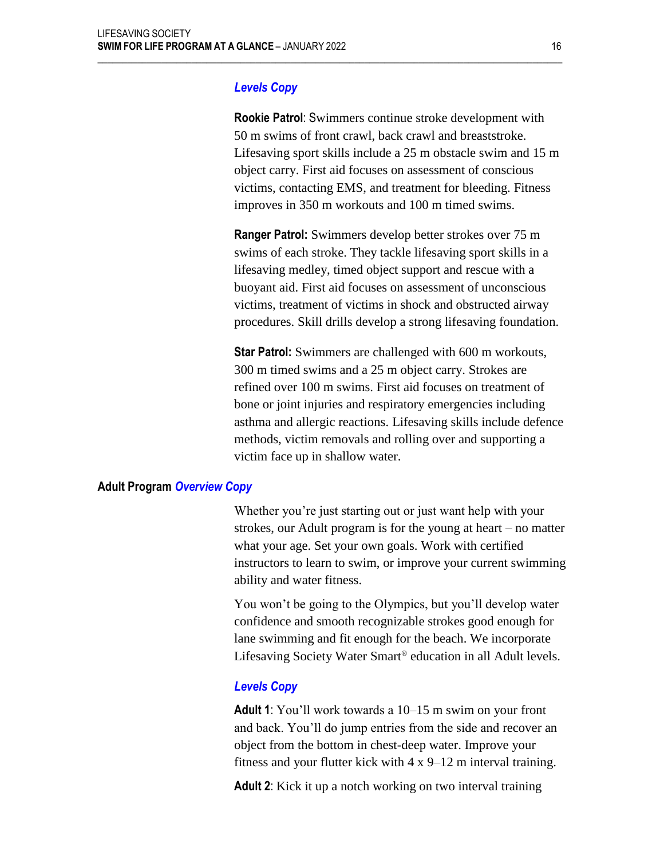## *Levels Copy*

 $\mathcal{L}_\mathcal{L} = \{ \mathcal{L}_\mathcal{L} = \{ \mathcal{L}_\mathcal{L} = \{ \mathcal{L}_\mathcal{L} = \{ \mathcal{L}_\mathcal{L} = \{ \mathcal{L}_\mathcal{L} = \{ \mathcal{L}_\mathcal{L} = \{ \mathcal{L}_\mathcal{L} = \{ \mathcal{L}_\mathcal{L} = \{ \mathcal{L}_\mathcal{L} = \{ \mathcal{L}_\mathcal{L} = \{ \mathcal{L}_\mathcal{L} = \{ \mathcal{L}_\mathcal{L} = \{ \mathcal{L}_\mathcal{L} = \{ \mathcal{L}_\mathcal{$ 

**Rookie Patrol**: Swimmers continue stroke development with 50 m swims of front crawl, back crawl and breaststroke. Lifesaving sport skills include a 25 m obstacle swim and 15 m object carry. First aid focuses on assessment of conscious victims, contacting EMS, and treatment for bleeding. Fitness improves in 350 m workouts and 100 m timed swims.

**Ranger Patrol:** Swimmers develop better strokes over 75 m swims of each stroke. They tackle lifesaving sport skills in a lifesaving medley, timed object support and rescue with a buoyant aid. First aid focuses on assessment of unconscious victims, treatment of victims in shock and obstructed airway procedures. Skill drills develop a strong lifesaving foundation.

**Star Patrol:** Swimmers are challenged with 600 m workouts, 300 m timed swims and a 25 m object carry. Strokes are refined over 100 m swims. First aid focuses on treatment of bone or joint injuries and respiratory emergencies including asthma and allergic reactions. Lifesaving skills include defence methods, victim removals and rolling over and supporting a victim face up in shallow water.

#### **Adult Program** *Overview Copy*

Whether you're just starting out or just want help with your strokes, our Adult program is for the young at heart – no matter what your age. Set your own goals. Work with certified instructors to learn to swim, or improve your current swimming ability and water fitness.

You won't be going to the Olympics, but you'll develop water confidence and smooth recognizable strokes good enough for lane swimming and fit enough for the beach. We incorporate Lifesaving Society Water Smart® education in all Adult levels.

#### *Levels Copy*

**Adult 1**: You'll work towards a 10–15 m swim on your front and back. You'll do jump entries from the side and recover an object from the bottom in chest-deep water. Improve your fitness and your flutter kick with 4 x 9–12 m interval training.

**Adult 2**: Kick it up a notch working on two interval training